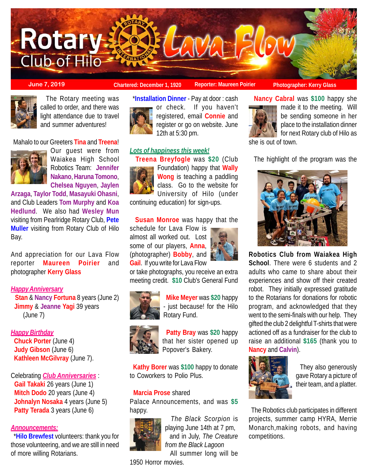

**June 7, 2019 Chartered: December 1, 1920** Reporter: Maureen Poirier Photographer: Kerry Glass



 The Rotary meeting was called to order, and there was light attendance due to travel and summer adventures!

Mahalo to our Greeters **Tina** and **Treena**!



Our guest were from Waiakea High School Robotics Team: **Jennifer Nakano**, **Haruna Tomono**, **Chelsea Nguyen**, **Jaylen**

**Arzaga**, **Taylor Todd**, **Masayuki Ohasni**, and Club Leaders **Tom Murphy** and **Koa Hedlund**. We also had **Wesley Mun** visiting from Pearlridge Rotary Club, **Pete Muller** visiting from Rotary Club of Hilo Bay.

And appreciation for our Lava Flow reporter **Maureen Poirier** and photographer **Kerry Glass**

## *Happy Anniversary*

 **Stan** & **Nancy Fortuna** 8 years (June 2)  **Jimmy** & **Jeanne Yagi** 39 years (June 7)

## *Happy Birthday*

 **Chuck Porter** (June 4) **Judy Gibson** (June 6)  **Kathleen McGilvray** (June 7).

Celebrating *Club Anniversaries* : **Gail Takaki** 26 years (June 1) **Mitch Dodo** 20 years (June 4) **Johnalyn Nosaka** 4 years (June 5) **Patty Terada** 3 years (June 6)

# *Announcements:*

 \***Hilo Brewfest** volunteers: thank you for those volunteering, and we are still in need of more willing Rotarians.



 \***Installation Dinner** - Pay at door : cash or check. If you haven't registered, email **Connie** and register or go on website. June 12th at 5:30 pm.

# *Lots of happiness this week!*

 **Treena Breyfogle** was **\$20** (Club Foundation) happy that **Wally Wong** is teaching a paddling class. Go to the website for University of Hilo (under

continuing education) for sign-ups.

# **Susan Monroe** was happy that the

schedule for Lava Flow is almost all worked out. Lost some of our players, **Anna**, (photographer) **Bobby**, and **Gail**. If you write for Lava Flow



or take photographs, you receive an extra meeting credit. **\$10** Club's General Fund



 **Mike Meyer** was **\$20** happy - just because! for the Hilo Rotary Fund.



 **Patty Bray** was **\$20** happy that her sister opened up Popover's Bakery.

 **Kathy Borer** was **\$100** happy to donate to Coworkers to Polio Plus.

### **Marcia Prose** shared

Palace Announcements, and was **\$5** happy.



 *The Black Scorpion* is playing June 14th at 7 pm, and in July, *The Creature from the Black Lagoon* All summer long will be

1950 Horror movies.



 **Nancy Cabral** was **\$100** happy she made it to the meeting. Will be sending someone in her place to the installation dinner for next Rotary club of Hilo as

she is out of town.

The highlight of the program was the



**Robotics Club from Waiakea High School**. There were 6 students and 2 adults who came to share about their experiences and show off their created robot. They initially expressed gratitude to the Rotarians for donations for robotic program, and acknowledged that they went to the semi-finals with our help. They gifted the club 2 delightful T-shirts that were actioned off as a fundraiser for the club to raise an additional **\$165** (thank you to **Nancy** and **Calvin**).



 They also generously gave Rotary a picture of their team, and a platter.

 The Robotics club participates in different projects, summer camp HYRA, Merrie Monarch,making robots, and having competitions.